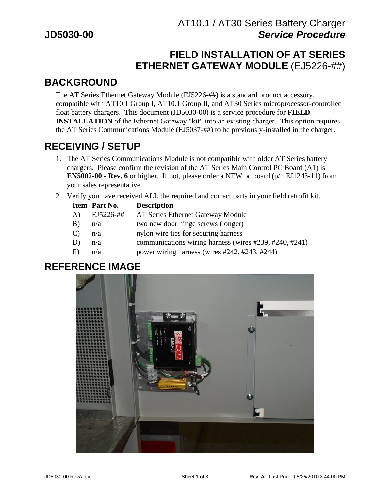# **FIELD INSTALLATION OF AT SERIES ETHERNET GATEWAY MODULE** (EJ5226-##)

## **BACKGROUND**

The AT Series Ethernet Gateway Module (EJ5226-##) is a standard product accessory, compatible with AT10.1 Group I, AT10.1 Group II, and AT30 Series microprocessor-controlled float battery chargers. This document (JD5030-00) is a service procedure for **FIELD INSTALLATION** of the Ethernet Gateway "kit" into an existing charger. This option requires the AT Series Communications Module (EJ5037-##) to be previously-installed in the charger.

## **RECEIVING / SETUP**

- 1. The AT Series Communications Module is not compatible with older AT Series battery chargers. Please confirm the revision of the AT Series Main Control PC Board (A1) is **EN5002-00 - Rev. 6** or higher. If not, please order a NEW pc board (p/n EJ1243-11) from your sales representative.
- 2. Verify you have received ALL the required and correct parts in your field retrofit kit.

| Item Part No.   | <b>Description</b>                                     |
|-----------------|--------------------------------------------------------|
| EJ5226-##<br>A) | AT Series Ethernet Gateway Module                      |
| $B)$ $n/a$      | two new door hinge screws (longer)                     |
| $C$ ) $n/a$     | nylon wire ties for securing harness                   |
| $D)$ $n/a$      | communications wiring harness (wires #239, #240, #241) |
| $E$ ) $n/a$     | power wiring harness (wires #242, #243, #244)          |
|                 |                                                        |

#### **REFERENCE IMAGE**

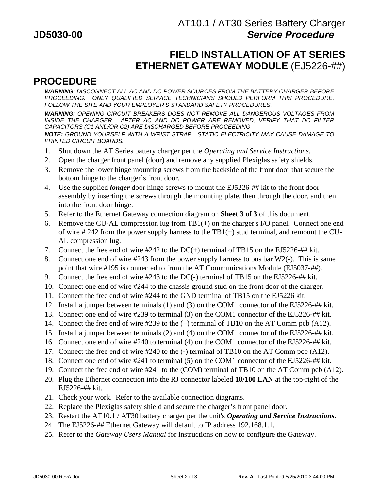## **FIELD INSTALLATION OF AT SERIES ETHERNET GATEWAY MODULE** (EJ5226-##)

### **PROCEDURE**

**WARNING**: DISCONNECT ALL AC AND DC POWER SOURCES FROM THE BATTERY CHARGER BEFORE PROCEEDING. ONLY QUALIFIED SERVICE TECHNICIANS SHOULD PERFORM THIS PROCEDURE. FOLLOW THE SITE AND YOUR EMPLOYER'S STANDARD SAFETY PROCEDURES.

**WARNING**: OPENING CIRCUIT BREAKERS DOES NOT REMOVE ALL DANGEROUS VOLTAGES FROM INSIDE THE CHARGER. AFTER AC AND DC POWER ARE REMOVED, VERIFY THAT DC FILTER CAPACITORS (C1 AND/OR C2) ARE DISCHARGED BEFORE PROCEEDING. **NOTE:** GROUND YOURSELF WITH A WRIST STRAP. STATIC ELECTRICITY MAY CAUSE DAMAGE TO

PRINTED CIRCUIT BOARDS.

- 1. Shut down the AT Series battery charger per the *Operating and Service Instructions*.
- 2. Open the charger front panel (door) and remove any supplied Plexiglas safety shields.
- 3. Remove the lower hinge mounting screws from the backside of the front door that secure the bottom hinge to the charger's front door.
- 4. Use the supplied *longer* door hinge screws to mount the EJ5226-## kit to the front door assembly by inserting the screws through the mounting plate, then through the door, and then into the front door hinge.
- 5. Refer to the Ethernet Gateway connection diagram on **Sheet 3 of 3** of this document.
- 6. Remove the CU-AL compression lug from TB1(+) on the charger's I/O panel. Connect one end of wire #242 from the power supply harness to the  $TB1(+)$  stud terminal, and remount the CU-AL compression lug.
- 7. Connect the free end of wire #242 to the DC(+) terminal of TB15 on the EJ5226-## kit.
- 8. Connect one end of wire #243 from the power supply harness to bus bar W2(-). This is same point that wire #195 is connected to from the AT Communications Module (EJ5037-##).
- 9. Connect the free end of wire #243 to the DC(-) terminal of TB15 on the EJ5226-## kit.
- 10. Connect one end of wire #244 to the chassis ground stud on the front door of the charger.
- 11. Connect the free end of wire #244 to the GND terminal of TB15 on the EJ5226 kit.
- 12. Install a jumper between terminals (1) and (3) on the COM1 connector of the EJ5226-## kit.
- 13. Connect one end of wire #239 to terminal (3) on the COM1 connector of the EJ5226-## kit.
- 14. Connect the free end of wire #239 to the (+) terminal of TB10 on the AT Comm pcb (A12).
- 15. Install a jumper between terminals (2) and (4) on the COM1 connector of the EJ5226-## kit.
- 16. Connect one end of wire #240 to terminal (4) on the COM1 connector of the EJ5226-## kit.
- 17. Connect the free end of wire #240 to the (-) terminal of TB10 on the AT Comm pcb (A12).
- 18. Connect one end of wire #241 to terminal (5) on the COM1 connector of the EJ5226-## kit.
- 19. Connect the free end of wire #241 to the (COM) terminal of TB10 on the AT Comm pcb (A12).
- 20. Plug the Ethernet connection into the RJ connector labeled **10/100 LAN** at the top-right of the EJ5226-## kit.
- 21. Check your work. Refer to the available connection diagrams.
- 22. Replace the Plexiglas safety shield and secure the charger's front panel door.
- 23. Restart the AT10.1 / AT30 battery charger per the unit's *Operating and Service Instructions*.
- 24. The EJ5226-## Ethernet Gateway will default to IP address 192.168.1.1.
- 25. Refer to the *Gateway Users Manual* for instructions on how to configure the Gateway.